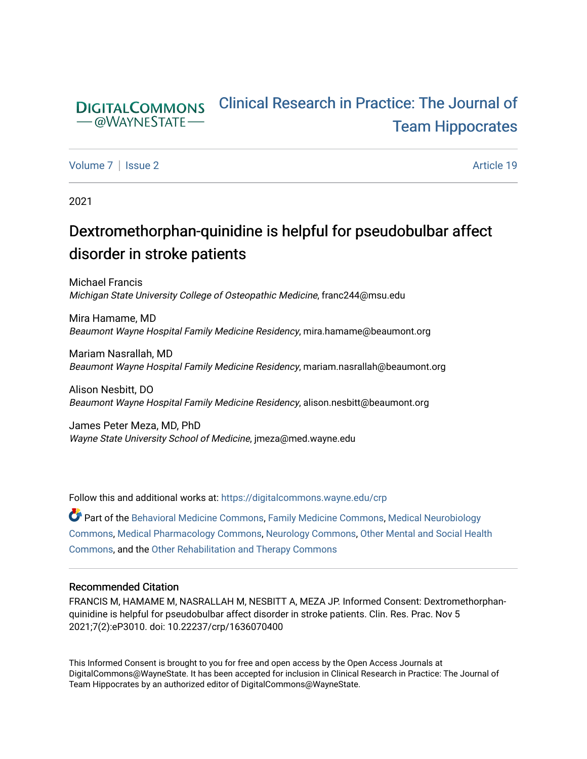#### [Clinical Research in Practice: The Journal of](https://digitalcommons.wayne.edu/crp)  **DIGITALCOMMONS** - @WAYNESTATE [Team Hippocrates](https://digitalcommons.wayne.edu/crp)

[Volume 7](https://digitalcommons.wayne.edu/crp/vol7) | [Issue 2](https://digitalcommons.wayne.edu/crp/vol7/iss2) Article 19

2021

# Dextromethorphan-quinidine is helpful for pseudobulbar affect disorder in stroke patients

Michael Francis Michigan State University College of Osteopathic Medicine, franc244@msu.edu

Mira Hamame, MD Beaumont Wayne Hospital Family Medicine Residency, mira.hamame@beaumont.org

Mariam Nasrallah, MD Beaumont Wayne Hospital Family Medicine Residency, mariam.nasrallah@beaumont.org

Alison Nesbitt, DO Beaumont Wayne Hospital Family Medicine Residency, alison.nesbitt@beaumont.org

James Peter Meza, MD, PhD Wayne State University School of Medicine, jmeza@med.wayne.edu

Follow this and additional works at: [https://digitalcommons.wayne.edu/crp](https://digitalcommons.wayne.edu/crp?utm_source=digitalcommons.wayne.edu%2Fcrp%2Fvol7%2Fiss2%2F19&utm_medium=PDF&utm_campaign=PDFCoverPages) 

Part of the [Behavioral Medicine Commons](http://network.bepress.com/hgg/discipline/1405?utm_source=digitalcommons.wayne.edu%2Fcrp%2Fvol7%2Fiss2%2F19&utm_medium=PDF&utm_campaign=PDFCoverPages), [Family Medicine Commons,](http://network.bepress.com/hgg/discipline/1354?utm_source=digitalcommons.wayne.edu%2Fcrp%2Fvol7%2Fiss2%2F19&utm_medium=PDF&utm_campaign=PDFCoverPages) [Medical Neurobiology](http://network.bepress.com/hgg/discipline/674?utm_source=digitalcommons.wayne.edu%2Fcrp%2Fvol7%2Fiss2%2F19&utm_medium=PDF&utm_campaign=PDFCoverPages)  [Commons](http://network.bepress.com/hgg/discipline/674?utm_source=digitalcommons.wayne.edu%2Fcrp%2Fvol7%2Fiss2%2F19&utm_medium=PDF&utm_campaign=PDFCoverPages), [Medical Pharmacology Commons](http://network.bepress.com/hgg/discipline/960?utm_source=digitalcommons.wayne.edu%2Fcrp%2Fvol7%2Fiss2%2F19&utm_medium=PDF&utm_campaign=PDFCoverPages), [Neurology Commons,](http://network.bepress.com/hgg/discipline/692?utm_source=digitalcommons.wayne.edu%2Fcrp%2Fvol7%2Fiss2%2F19&utm_medium=PDF&utm_campaign=PDFCoverPages) [Other Mental and Social Health](http://network.bepress.com/hgg/discipline/717?utm_source=digitalcommons.wayne.edu%2Fcrp%2Fvol7%2Fiss2%2F19&utm_medium=PDF&utm_campaign=PDFCoverPages)  [Commons](http://network.bepress.com/hgg/discipline/717?utm_source=digitalcommons.wayne.edu%2Fcrp%2Fvol7%2Fiss2%2F19&utm_medium=PDF&utm_campaign=PDFCoverPages), and the [Other Rehabilitation and Therapy Commons](http://network.bepress.com/hgg/discipline/758?utm_source=digitalcommons.wayne.edu%2Fcrp%2Fvol7%2Fiss2%2F19&utm_medium=PDF&utm_campaign=PDFCoverPages) 

#### Recommended Citation

FRANCIS M, HAMAME M, NASRALLAH M, NESBITT A, MEZA JP. Informed Consent: Dextromethorphanquinidine is helpful for pseudobulbar affect disorder in stroke patients. Clin. Res. Prac. Nov 5 2021;7(2):eP3010. doi: 10.22237/crp/1636070400

This Informed Consent is brought to you for free and open access by the Open Access Journals at DigitalCommons@WayneState. It has been accepted for inclusion in Clinical Research in Practice: The Journal of Team Hippocrates by an authorized editor of DigitalCommons@WayneState.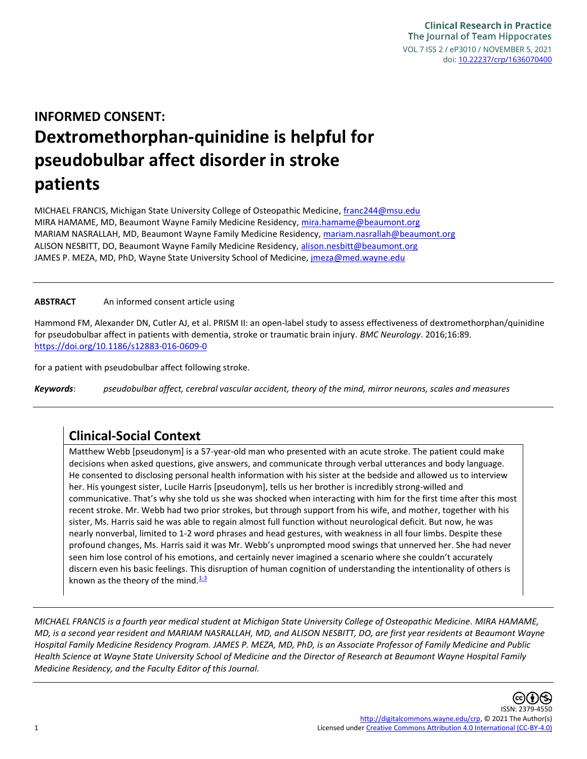# **INFORMED CONSENT: Dextromethorphan-quinidine is helpful for pseudobulbar affect disorder in stroke patients**

MICHAEL FRANCIS, Michigan State University College of Osteopathic Medicine, [franc244@msu.edu](mailto:franc244@msu.edu) MIRA HAMAME, MD, Beaumont Wayne Family Medicine Residency, [mira.hamame@beaumont.org](mailto:mira.hamame@beaumont.org) MARIAM NASRALLAH, MD, Beaumont Wayne Family Medicine Residency, [mariam.nasrallah@beaumont.org](mailto:mariam.nasrallah@beaumont.org) ALISON NESBITT, DO, Beaumont Wayne Family Medicine Residency, [alison.nesbitt@beaumont.org](mailto:alison.nesbitt@beaumont.org) JAMES P. MEZA, MD, PhD, Wayne State University School of Medicine, [jmeza@med.wayne.edu](mailto:jmeza@med.wayne.edu)

#### **ABSTRACT** An informed consent article using

Hammond FM, Alexander DN, Cutler AJ, et al. PRISM II: an open-label study to assess effectiveness of dextromethorphan/quinidine for pseudobulbar affect in patients with dementia, stroke or traumatic brain injury. *BMC Neurology*. 2016;16:89. <https://doi.org/10.1186/s12883-016-0609-0>

for a patient with pseudobulbar affect following stroke.

*Keywords*: *pseudobulbar affect, cerebral vascular accident, theory of the mind, mirror neurons, scales and measures*

#### **Clinical-Social Context**

Matthew Webb [pseudonym] is a 57-year-old man who presented with an acute stroke. The patient could make decisions when asked questions, give answers, and communicate through verbal utterances and body language. He consented to disclosing personal health information with his sister at the bedside and allowed us to interview her. His youngest sister, Lucile Harris [pseudonym], tells us her brother is incredibly strong-willed and communicative. That's why she told us she was shocked when interacting with him for the first time after this most recent stroke. Mr. Webb had two prior strokes, but through support from his wife, and mother, together with his sister, Ms. Harris said he was able to regain almost full function without neurological deficit. But now, he was nearly nonverbal, limited to 1-2 word phrases and head gestures, with weakness in all four limbs. Despite these profound changes, Ms. Harris said it was Mr. Webb's unprompted mood swings that unnerved her. She had never seen him lose control of his emotions, and certainly never imagined a scenario where she couldn't accurately discern even his basic feelings. This disruption of human cognition of understanding the intentionality of others is known as the theory of the mind. $1-3$ 

*MICHAEL FRANCIS is a fourth year medical student at Michigan State University College of Osteopathic Medicine. MIRA HAMAME, MD, is a second year resident and MARIAM NASRALLAH, MD, and ALISON NESBITT, DO, are first year residents at Beaumont Wayne Hospital Family Medicine Residency Program. JAMES P. MEZA, MD, PhD, is an Associate Professor of Family Medicine and Public Health Science at Wayne State University School of Medicine and the Director of Research at Beaumont Wayne Hospital Family Medicine Residency, and the Faculty Editor of this Journal.*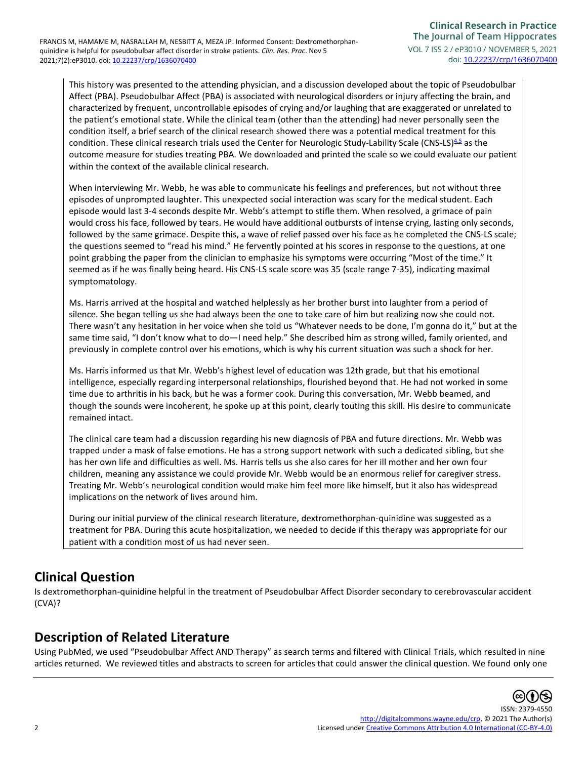This history was presented to the attending physician, and a discussion developed about the topic of Pseudobulbar Affect (PBA). Pseudobulbar Affect (PBA) is associated with neurological disorders or injury affecting the brain, and characterized by frequent, uncontrollable episodes of crying and/or laughing that are exaggerated or unrelated to the patient's emotional state. While the clinical team (other than the attending) had never personally seen the condition itself, a brief search of the clinical research showed there was a potential medical treatment for this condition. These clinical research trials used the Center for Neurologic Study-Lability Scale (CNS-LS) $4.5$  as the outcome measure for studies treating PBA. We downloaded and printed the scale so we could evaluate our patient within the context of the available clinical research.

When interviewing Mr. Webb, he was able to communicate his feelings and preferences, but not without three episodes of unprompted laughter. This unexpected social interaction was scary for the medical student. Each episode would last 3-4 seconds despite Mr. Webb's attempt to stifle them. When resolved, a grimace of pain would cross his face, followed by tears. He would have additional outbursts of intense crying, lasting only seconds, followed by the same grimace. Despite this, a wave of relief passed over his face as he completed the CNS-LS scale; the questions seemed to "read his mind." He fervently pointed at his scores in response to the questions, at one point grabbing the paper from the clinician to emphasize his symptoms were occurring "Most of the time." It seemed as if he was finally being heard. His CNS-LS scale score was 35 (scale range 7-35), indicating maximal symptomatology.

Ms. Harris arrived at the hospital and watched helplessly as her brother burst into laughter from a period of silence. She began telling us she had always been the one to take care of him but realizing now she could not. There wasn't any hesitation in her voice when she told us "Whatever needs to be done, I'm gonna do it," but at the same time said, "I don't know what to do—I need help." She described him as strong willed, family oriented, and previously in complete control over his emotions, which is why his current situation was such a shock for her.

Ms. Harris informed us that Mr. Webb's highest level of education was 12th grade, but that his emotional intelligence, especially regarding interpersonal relationships, flourished beyond that. He had not worked in some time due to arthritis in his back, but he was a former cook. During this conversation, Mr. Webb beamed, and though the sounds were incoherent, he spoke up at this point, clearly touting this skill. His desire to communicate remained intact.

The clinical care team had a discussion regarding his new diagnosis of PBA and future directions. Mr. Webb was trapped under a mask of false emotions. He has a strong support network with such a dedicated sibling, but she has her own life and difficulties as well. Ms. Harris tells us she also cares for her ill mother and her own four children, meaning any assistance we could provide Mr. Webb would be an enormous relief for caregiver stress. Treating Mr. Webb's neurological condition would make him feel more like himself, but it also has widespread implications on the network of lives around him.

During our initial purview of the clinical research literature, dextromethorphan-quinidine was suggested as a treatment for PBA. During this acute hospitalization, we needed to decide if this therapy was appropriate for our patient with a condition most of us had never seen.

# **Clinical Question**

Is dextromethorphan-quinidine helpful in the treatment of Pseudobulbar Affect Disorder secondary to cerebrovascular accident (CVA)?

# **Description of Related Literature**

Using PubMed, we used "Pseudobulbar Affect AND Therapy" as search terms and filtered with Clinical Trials, which resulted in nine articles returned. We reviewed titles and abstracts to screen for articles that could answer the clinical question. We found only one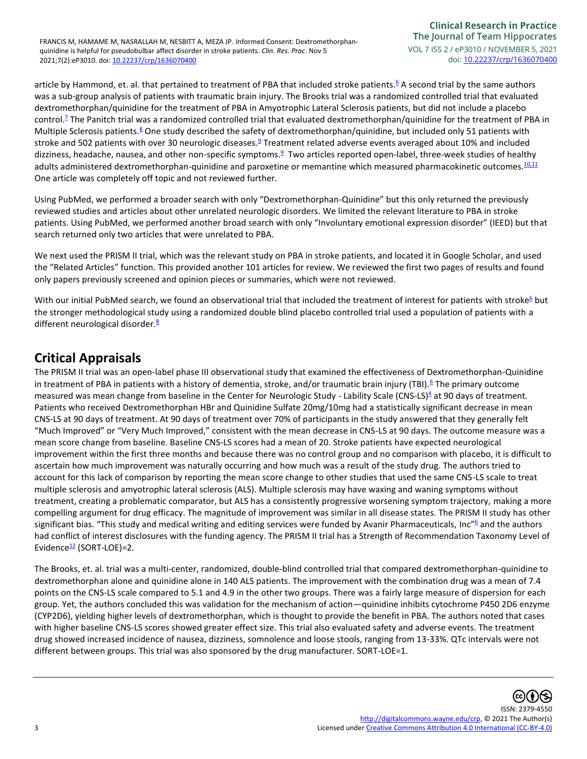article by Hammond, et. al. that pertained to treatment of PBA that included stroke patient[s.](#page-5-2)<sup>6</sup> A second trial by the same authors was a sub-group analysis of patients with traumatic brain injury. The Brooks trial was a randomized controlled trial that evaluated dextromethorphan/quinidine for the treatment of PBA in Amyotrophic Lateral Sclerosis patients, but did not include a placebo contro[l.](#page-5-3)<sup>7</sup> The Panitch trial was a randomized controlled trial that evaluated dextromethorphan/quinidine for the treatment of PBA in Multiple Sclerosis patients[.](#page-5-4)<sup>8</sup> One study described the safety of dextromethorphan/quinidine, but included only 51 patients with stroke and 502 patients with over 30 neurologic diseases.<sup>[9](#page-6-0)</sup> Treatment related adverse events averaged about 10% and included dizziness, headache, nausea, and other non-specific symptoms.<sup>[9](#page-6-0)</sup> Two articles reported open-label, three-week studies of healthy adults administered dextromethorphan-quinidine and paroxetine or memantine which measured pharmacokinetic outcomes.<sup>[10,11](#page-6-1)</sup> One article was completely off topic and not reviewed further.

Using PubMed, we performed a broader search with only "Dextromethorphan-Quinidine" but this only returned the previously reviewed studies and articles about other unrelated neurologic disorders. We limited the relevant literature to PBA in stroke patients. Using PubMed, we performed another broad search with only "Involuntary emotional expression disorder" (IEED) but that search returned only two articles that were unrelated to PBA.

We next used the PRISM II trial, which was the relevant study on PBA in stroke patients, and located it in Google Scholar, and used the "Related Articles" function. This provided another 101 articles for review. We reviewed the first two pages of results and found only papers previously screened and opinion pieces or summaries, which were not reviewed.

With our initial PubM[e](#page-5-2)d search, we found an observational trial that included the treatment of interest for patients with stroke<sup>6</sup> but the stronger methodological study using a randomized double blind placebo controlled trial used a population of patients with a different neurological disorder.<sup>[8](#page-5-4)</sup>

## **Critical Appraisals**

The PRISM II trial was an open-label phase III observational study that examined the effectiveness of Dextromethorphan-Quinidine in treatment of PBA in patients with a history of dementia, stroke, and/or traumatic brain injury (TBI).<sup>[6](#page-5-2)</sup> The primary outcome measured was mean change from baseline in the Center for Neurologic Study - Lability Scale (CNS-LS)<sup>[4](#page-5-1)</sup> at 90 days of treatment. Patients who received Dextromethorphan HBr and Quinidine Sulfate 20mg/10mg had a statistically significant decrease in mean CNS-LS at 90 days of treatment. At 90 days of treatment over 70% of participants in the study answered that they generally felt "Much Improved" or "Very Much Improved," consistent with the mean decrease in CNS-LS at 90 days. The outcome measure was a mean score change from baseline. Baseline CNS-LS scores had a mean of 20. Stroke patients have expected neurological improvement within the first three months and because there was no control group and no comparison with placebo, it is difficult to ascertain how much improvement was naturally occurring and how much was a result of the study drug. The authors tried to account for this lack of comparison by reporting the mean score change to other studies that used the same CNS-LS scale to treat multiple sclerosis and amyotrophic lateral sclerosis (ALS). Multiple sclerosis may have waxing and waning symptoms without treatment, creating a problematic comparator, but ALS has a consistently progressive worsening symptom trajectory, making a more compelling argument for drug efficacy. The magnitude of improvement was similar in all disease states. The PRISM II study has other significant bias. ["](#page-5-2)This study and medical writing and editing services were funded by Avanir Pharmaceuticals, Inc"<sup>6</sup> and the authors had conflict of interest disclosures with the funding agency. The PRISM II trial has a Strength of Recommendation Taxonomy Level of Evidence $\frac{12}{2}$  $\frac{12}{2}$  $\frac{12}{2}$  (SORT-LOE)=2.

The Brooks, et. al. trial was a multi-center, randomized, double-blind controlled trial that compared dextromethorphan-quinidine to dextromethorphan alone and quinidine alone in 140 ALS patients. The improvement with the combination drug was a mean of 7.4 points on the CNS-LS scale compared to 5.1 and 4.9 in the other two groups. There was a fairly large measure of dispersion for each group. Yet, the authors concluded this was validation for the mechanism of action—quinidine inhibits cytochrome P450 2D6 enzyme (CYP2D6), yielding higher levels of dextromethorphan, which is thought to provide the benefit in PBA. The authors noted that cases with higher baseline CNS-LS scores showed greater effect size. This trial also evaluated safety and adverse events. The treatment drug showed increased incidence of nausea, dizziness, somnolence and loose stools, ranging from 13-33%. QTc intervals were not different between groups. This trial was also sponsored by the drug manufacturer. SORT-LOE=1.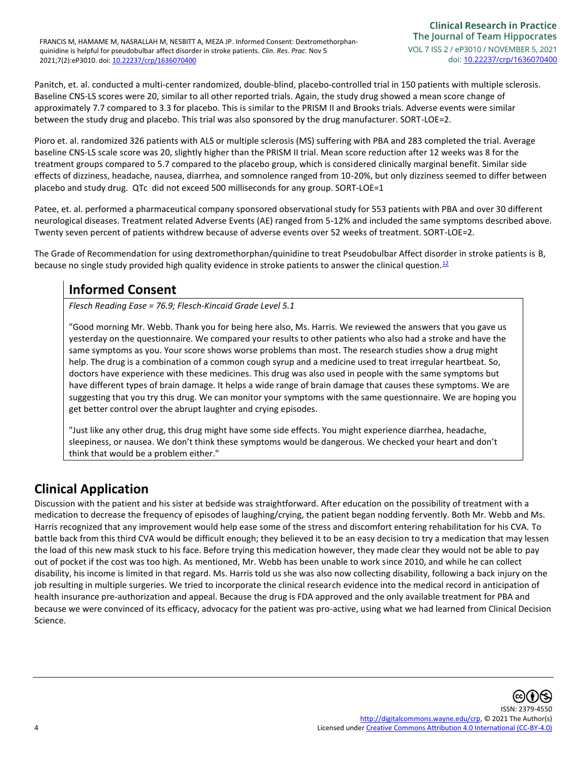Panitch, et. al. conducted a multi-center randomized, double-blind, placebo-controlled trial in 150 patients with multiple sclerosis. Baseline CNS-LS scores were 20, similar to all other reported trials. Again, the study drug showed a mean score change of approximately 7.7 compared to 3.3 for placebo. This is similar to the PRISM II and Brooks trials. Adverse events were similar between the study drug and placebo. This trial was also sponsored by the drug manufacturer. SORT-LOE=2.

Pioro et. al. randomized 326 patients with ALS or multiple sclerosis (MS) suffering with PBA and 283 completed the trial. Average baseline CNS-LS scale score was 20, slightly higher than the PRISM II trial. Mean score reduction after 12 weeks was 8 for the treatment groups compared to 5.7 compared to the placebo group, which is considered clinically marginal benefit. Similar side effects of dizziness, headache, nausea, diarrhea, and somnolence ranged from 10-20%, but only dizziness seemed to differ between placebo and study drug. QTc did not exceed 500 milliseconds for any group. SORT-LOE=1

Patee, et. al. performed a pharmaceutical company sponsored observational study for 553 patients with PBA and over 30 different neurological diseases. Treatment related Adverse Events (AE) ranged from 5-12% and included the same symptoms described above. Twenty seven percent of patients withdrew because of adverse events over 52 weeks of treatment. SORT-LOE=2.

The Grade of Recommendation for using dextromethorphan/quinidine to treat Pseudobulbar Affect disorder in stroke patients is B, because no single study provided high quality evidence in stroke patients to answer the clinical question.<sup>[12](#page-6-2)</sup>

# **Informed Consent**

*Flesch Reading Ease = 76.9; Flesch-Kincaid Grade Level 5.1*

"Good morning Mr. Webb. Thank you for being here also, Ms. Harris. We reviewed the answers that you gave us yesterday on the questionnaire. We compared your results to other patients who also had a stroke and have the same symptoms as you. Your score shows worse problems than most. The research studies show a drug might help. The drug is a combination of a common cough syrup and a medicine used to treat irregular heartbeat. So, doctors have experience with these medicines. This drug was also used in people with the same symptoms but have different types of brain damage. It helps a wide range of brain damage that causes these symptoms. We are suggesting that you try this drug. We can monitor your symptoms with the same questionnaire. We are hoping you get better control over the abrupt laughter and crying episodes.

"Just like any other drug, this drug might have some side effects. You might experience diarrhea, headache, sleepiness, or nausea. We don't think these symptoms would be dangerous. We checked your heart and don't think that would be a problem either."

## **Clinical Application**

Discussion with the patient and his sister at bedside was straightforward. After education on the possibility of treatment with a medication to decrease the frequency of episodes of laughing/crying, the patient began nodding fervently. Both Mr. Webb and Ms. Harris recognized that any improvement would help ease some of the stress and discomfort entering rehabilitation for his CVA. To battle back from this third CVA would be difficult enough; they believed it to be an easy decision to try a medication that may lessen the load of this new mask stuck to his face. Before trying this medication however, they made clear they would not be able to pay out of pocket if the cost was too high. As mentioned, Mr. Webb has been unable to work since 2010, and while he can collect disability, his income is limited in that regard. Ms. Harris told us she was also now collecting disability, following a back injury on the job resulting in multiple surgeries. We tried to incorporate the clinical research evidence into the medical record in anticipation of health insurance pre-authorization and appeal. Because the drug is FDA approved and the only available treatment for PBA and because we were convinced of its efficacy, advocacy for the patient was pro-active, using what we had learned from Clinical Decision Science.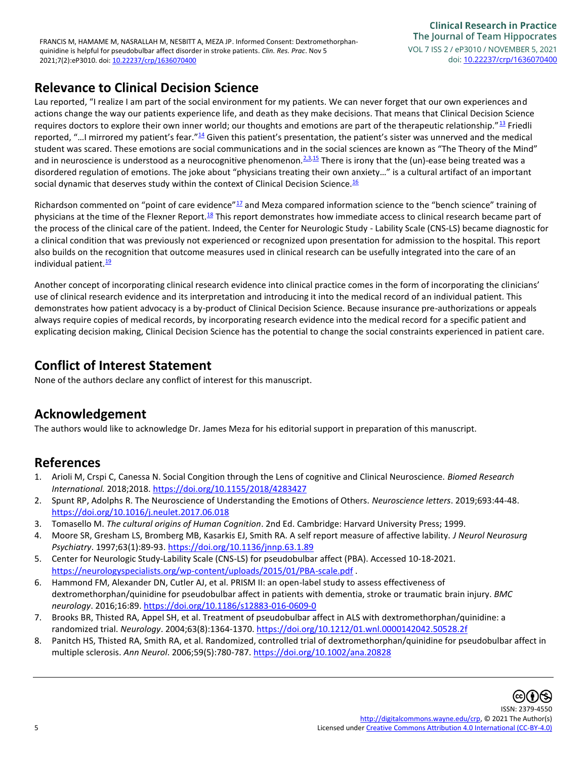### **Relevance to Clinical Decision Science**

Lau reported, "I realize I am part of the social environment for my patients. We can never forget that our own experiences and actions change the way our patients experience life, and death as they make decisions. That means that Clinical Decision Science requires doctors to explore their own inner world; our thoughts and emotions are part of the therapeutic relationship."<sup>[13](#page-6-3)</sup> Friedli reported, "... I mirrored my patient's fear."<sup>[14](#page-6-4)</sup> Given this patient's presentation, the patient's sister was unnerved and the medical student was scared. These emotions are social communications and in the social sciences are known as "The Theory of the Mind" and in neuroscience is understood as a neurocognitive phenomenon.<sup>[2,3,](#page-5-5)[15](#page-6-5)</sup> There is irony that the (un)-ease being treated was a disordered regulation of emotions. The joke about "physicians treating their own anxiety…" is a cultural artifact of an important social dynamic that deserves study within the context of Clinical Decision Science. $16$ 

Richardson commented on "point of care evidence" $^{17}$  $^{17}$  $^{17}$  and Meza compared information science to the "bench science" training of physicians at the time of the Flexner Report.<sup>[18](#page-6-8)</sup> This report demonstrates how immediate access to clinical research became part of the process of the clinical care of the patient. Indeed, the Center for Neurologic Study - Lability Scale (CNS-LS) became diagnostic for a clinical condition that was previously not experienced or recognized upon presentation for admission to the hospital. This report also builds on the recognition that outcome measures used in clinical research can be usefully integrated into the care of an individual patient. $\frac{19}{10}$  $\frac{19}{10}$  $\frac{19}{10}$ 

Another concept of incorporating clinical research evidence into clinical practice comes in the form of incorporating the clinicians' use of clinical research evidence and its interpretation and introducing it into the medical record of an individual patient. This demonstrates how patient advocacy is a by-product of Clinical Decision Science. Because insurance pre-authorizations or appeals always require copies of medical records, by incorporating research evidence into the medical record for a specific patient and explicating decision making, Clinical Decision Science has the potential to change the social constraints experienced in patient care.

### **Conflict of Interest Statement**

None of the authors declare any conflict of interest for this manuscript.

### **Acknowledgement**

The authors would like to acknowledge Dr. James Meza for his editorial support in preparation of this manuscript.

### **References**

- <span id="page-5-0"></span>1. Arioli M, Crspi C, Canessa N. Social Congition through the Lens of cognitive and Clinical Neuroscience. *Biomed Research International.* 2018;2018[. https://doi.org/10.1155/2018/4283427](https://doi.org/10.1155/2018/4283427)
- <span id="page-5-5"></span>2. Spunt RP, Adolphs R. The Neuroscience of Understanding the Emotions of Others. *Neuroscience letters*. 2019;693:44-48. <https://doi.org/10.1016/j.neulet.2017.06.018>
- 3. Tomasello M. *The cultural origins of Human Cognition*. 2nd Ed. Cambridge: Harvard University Press; 1999.
- <span id="page-5-1"></span>4. Moore SR, Gresham LS, Bromberg MB, Kasarkis EJ, Smith RA. A self report measure of affective lability. *J Neurol Neurosurg Psychiatry*. 1997;63(1):89-93.<https://doi.org/10.1136/jnnp.63.1.89>
- 5. Center for Neurologic Study-Lability Scale (CNS-LS) for pseudobulbar affect (PBA). Accessed 10-18-2021. <https://neurologyspecialists.org/wp-content/uploads/2015/01/PBA-scale.pdf> .
- <span id="page-5-2"></span>6. Hammond FM, Alexander DN, Cutler AJ, et al. PRISM II: an open-label study to assess effectiveness of dextromethorphan/quinidine for pseudobulbar affect in patients with dementia, stroke or traumatic brain injury. *BMC neurology*. 2016;16:89.<https://doi.org/10.1186/s12883-016-0609-0>
- <span id="page-5-3"></span>7. Brooks BR, Thisted RA, Appel SH, et al. Treatment of pseudobulbar affect in ALS with dextromethorphan/quinidine: a randomized trial. *Neurology*. 2004;63(8):1364-1370.<https://doi.org/10.1212/01.wnl.0000142042.50528.2f>
- <span id="page-5-4"></span>8. Panitch HS, Thisted RA, Smith RA, et al. Randomized, controlled trial of dextromethorphan/quinidine for pseudobulbar affect in multiple sclerosis. *Ann Neurol*. 2006;59(5):780-787[. https://doi.org/10.1002/ana.20828](https://doi.org/10.1002/ana.20828)